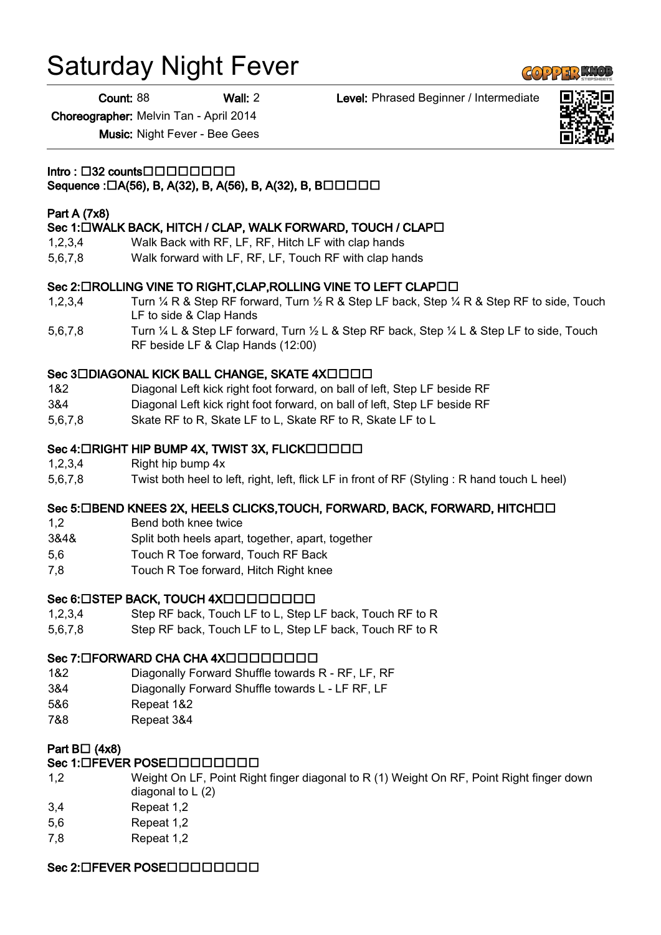# Saturday Night Fever

Count: 88 Wall: 2 Level: Phrased Beginner / Intermediate

Choreographer: Melvin Tan - April 2014

Music: Night Fever - Bee Gees

 $Intro: \Box 32$  counts $\Box$  $\Box$  $\Box$  $\Box$  $\Box$  $\Box$  $\Box$  $\Box$ 

# Sequence : $\Box A(56)$ , B, A(32), B, A(56), B, A(32), B, B $\Box$  $\Box$  $\Box$  $\Box$

#### Part A (7x8)

#### Sec 1: UWALK BACK, HITCH / CLAP, WALK FORWARD, TOUCH / CLAPU

- 1,2,3,4 Walk Back with RF, LF, RF, Hitch LF with clap hands
- 5,6,7,8 Walk forward with LF, RF, LF, Touch RF with clap hands

#### Sec 2: LIROLLING VINE TO RIGHT, CLAP, ROLLING VINE TO LEFT CLAPLIL

- 1,2,3,4 Turn ¼ R & Step RF forward, Turn ½ R & Step LF back, Step ¼ R & Step RF to side, Touch LF to side & Clap Hands
- 5,6,7,8 Turn ¼ L & Step LF forward, Turn ½ L & Step RF back, Step ¼ L & Step LF to side, Touch RF beside LF & Clap Hands (12:00)

#### Sec 3DDIAGONAL KICK BALL CHANGE, SKATE 4XDDDD

- 1&2 Diagonal Left kick right foot forward, on ball of left, Step LF beside RF
- 3&4 Diagonal Left kick right foot forward, on ball of left, Step LF beside RF
- 5,6,7,8 Skate RF to R, Skate LF to L, Skate RF to R, Skate LF to L

# Sec 4:  $\Box$ RIGHT HIP BUMP 4X, TWIST 3X, FLICK $\Box$  $\Box$  $\Box$  $\Box$  $\Box$

- 1,2,3,4 Right hip bump 4x
- 5,6,7,8 Twist both heel to left, right, left, flick LF in front of RF (Styling : R hand touch L heel)

# Sec 5: OBEND KNEES 2X, HEELS CLICKS, TOUCH, FORWARD, BACK, FORWARD, HITCHOO

- 1,2 Bend both knee twice
- 3&4& Split both heels apart, together, apart, together
- 5,6 Touch R Toe forward, Touch RF Back
- 7,8 Touch R Toe forward, Hitch Right knee

# Sec 6: OSTEP BACK, TOUCH 4XOOOOOOOOO

- 1,2,3,4 Step RF back, Touch LF to L, Step LF back, Touch RF to R
- 5,6,7,8 Step RF back, Touch LF to L, Step LF back, Touch RF to R

# Sec 7: OFORWARD CHA CHA 4XOOODOOOO

- 1&2 Diagonally Forward Shuffle towards R RF, LF, RF
- 3&4 Diagonally Forward Shuffle towards L LF RF, LF
- 5&6 Repeat 1&2
- 7&8 Repeat 3&4

# Part  $B\square$  (4x8)

# Sec 1: OFEVER POSE O O O O O O O O

- 1,2 Weight On LF, Point Right finger diagonal to R (1) Weight On RF, Point Right finger down diagonal to  $L(2)$
- 3,4 Repeat 1,2
- 5,6 Repeat 1,2
- 7,8 Repeat 1,2

# Sec 2: OFEVER POSE O O O O O O O O